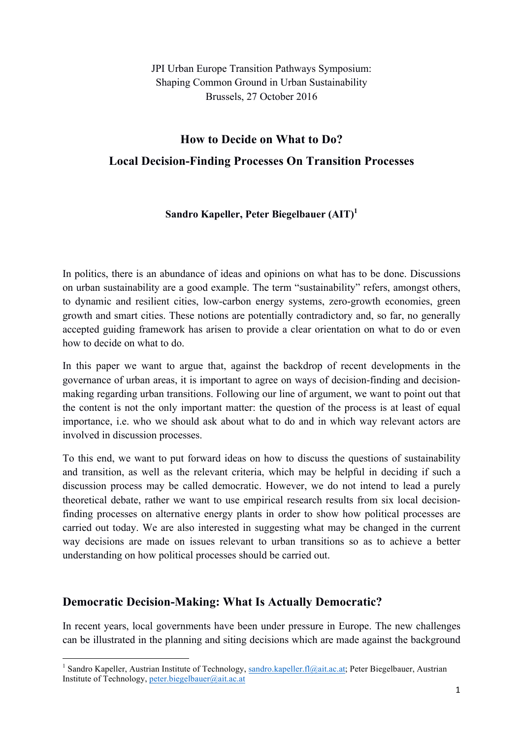JPI Urban Europe Transition Pathways Symposium: Shaping Common Ground in Urban Sustainability Brussels, 27 October 2016

# **How to Decide on What to Do? Local Decision-Finding Processes On Transition Processes**

### **Sandro Kapeller, Peter Biegelbauer (AIT)1**

In politics, there is an abundance of ideas and opinions on what has to be done. Discussions on urban sustainability are a good example. The term "sustainability" refers, amongst others, to dynamic and resilient cities, low-carbon energy systems, zero-growth economies, green growth and smart cities. These notions are potentially contradictory and, so far, no generally accepted guiding framework has arisen to provide a clear orientation on what to do or even how to decide on what to do.

In this paper we want to argue that, against the backdrop of recent developments in the governance of urban areas, it is important to agree on ways of decision-finding and decisionmaking regarding urban transitions. Following our line of argument, we want to point out that the content is not the only important matter: the question of the process is at least of equal importance, i.e. who we should ask about what to do and in which way relevant actors are involved in discussion processes.

To this end, we want to put forward ideas on how to discuss the questions of sustainability and transition, as well as the relevant criteria, which may be helpful in deciding if such a discussion process may be called democratic. However, we do not intend to lead a purely theoretical debate, rather we want to use empirical research results from six local decisionfinding processes on alternative energy plants in order to show how political processes are carried out today. We are also interested in suggesting what may be changed in the current way decisions are made on issues relevant to urban transitions so as to achieve a better understanding on how political processes should be carried out.

### **Democratic Decision-Making: What Is Actually Democratic?**

 

In recent years, local governments have been under pressure in Europe. The new challenges can be illustrated in the planning and siting decisions which are made against the background

<sup>&</sup>lt;sup>1</sup> Sandro Kapeller, Austrian Institute of Technology, sandro.kapeller.fl@ait.ac.at; Peter Biegelbauer, Austrian Institute of Technology, peter.biegelbauer@ait.ac.at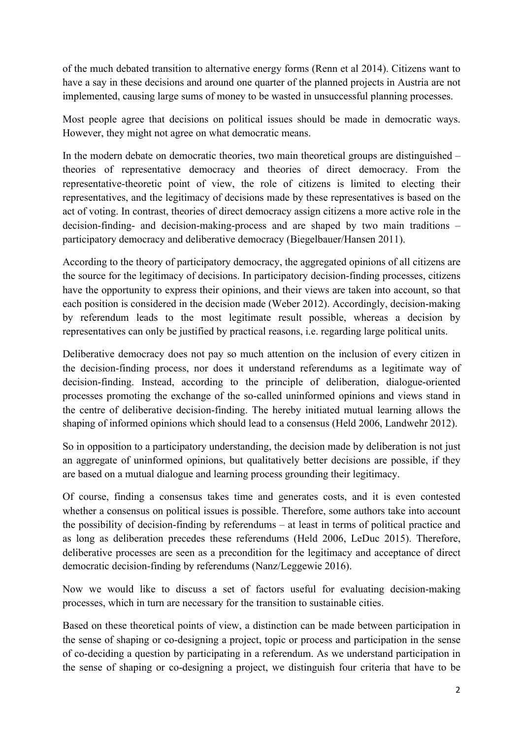of the much debated transition to alternative energy forms (Renn et al 2014). Citizens want to have a say in these decisions and around one quarter of the planned projects in Austria are not implemented, causing large sums of money to be wasted in unsuccessful planning processes.

Most people agree that decisions on political issues should be made in democratic ways. However, they might not agree on what democratic means.

In the modern debate on democratic theories, two main theoretical groups are distinguished – theories of representative democracy and theories of direct democracy. From the representative-theoretic point of view, the role of citizens is limited to electing their representatives, and the legitimacy of decisions made by these representatives is based on the act of voting. In contrast, theories of direct democracy assign citizens a more active role in the decision-finding- and decision-making-process and are shaped by two main traditions – participatory democracy and deliberative democracy (Biegelbauer/Hansen 2011).

According to the theory of participatory democracy, the aggregated opinions of all citizens are the source for the legitimacy of decisions. In participatory decision-finding processes, citizens have the opportunity to express their opinions, and their views are taken into account, so that each position is considered in the decision made (Weber 2012). Accordingly, decision-making by referendum leads to the most legitimate result possible, whereas a decision by representatives can only be justified by practical reasons, i.e. regarding large political units.

Deliberative democracy does not pay so much attention on the inclusion of every citizen in the decision-finding process, nor does it understand referendums as a legitimate way of decision-finding. Instead, according to the principle of deliberation, dialogue-oriented processes promoting the exchange of the so-called uninformed opinions and views stand in the centre of deliberative decision-finding. The hereby initiated mutual learning allows the shaping of informed opinions which should lead to a consensus (Held 2006, Landwehr 2012).

So in opposition to a participatory understanding, the decision made by deliberation is not just an aggregate of uninformed opinions, but qualitatively better decisions are possible, if they are based on a mutual dialogue and learning process grounding their legitimacy.

Of course, finding a consensus takes time and generates costs, and it is even contested whether a consensus on political issues is possible. Therefore, some authors take into account the possibility of decision-finding by referendums – at least in terms of political practice and as long as deliberation precedes these referendums (Held 2006, LeDuc 2015). Therefore, deliberative processes are seen as a precondition for the legitimacy and acceptance of direct democratic decision-finding by referendums (Nanz/Leggewie 2016).

Now we would like to discuss a set of factors useful for evaluating decision-making processes, which in turn are necessary for the transition to sustainable cities.

Based on these theoretical points of view, a distinction can be made between participation in the sense of shaping or co-designing a project, topic or process and participation in the sense of co-deciding a question by participating in a referendum. As we understand participation in the sense of shaping or co-designing a project, we distinguish four criteria that have to be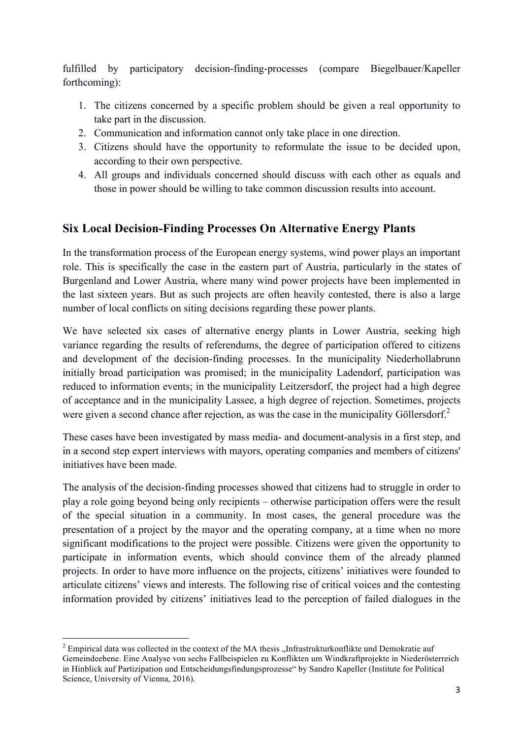fulfilled by participatory decision-finding-processes (compare Biegelbauer/Kapeller forthcoming):

- 1. The citizens concerned by a specific problem should be given a real opportunity to take part in the discussion.
- 2. Communication and information cannot only take place in one direction.
- 3. Citizens should have the opportunity to reformulate the issue to be decided upon, according to their own perspective.
- 4. All groups and individuals concerned should discuss with each other as equals and those in power should be willing to take common discussion results into account.

# **Six Local Decision-Finding Processes On Alternative Energy Plants**

In the transformation process of the European energy systems, wind power plays an important role. This is specifically the case in the eastern part of Austria, particularly in the states of Burgenland and Lower Austria, where many wind power projects have been implemented in the last sixteen years. But as such projects are often heavily contested, there is also a large number of local conflicts on siting decisions regarding these power plants.

We have selected six cases of alternative energy plants in Lower Austria, seeking high variance regarding the results of referendums, the degree of participation offered to citizens and development of the decision-finding processes. In the municipality Niederhollabrunn initially broad participation was promised; in the municipality Ladendorf, participation was reduced to information events; in the municipality Leitzersdorf, the project had a high degree of acceptance and in the municipality Lassee, a high degree of rejection. Sometimes, projects were given a second chance after rejection, as was the case in the municipality Göllersdorf.<sup>2</sup>

These cases have been investigated by mass media- and document-analysis in a first step, and in a second step expert interviews with mayors, operating companies and members of citizens' initiatives have been made.

The analysis of the decision-finding processes showed that citizens had to struggle in order to play a role going beyond being only recipients – otherwise participation offers were the result of the special situation in a community. In most cases, the general procedure was the presentation of a project by the mayor and the operating company, at a time when no more significant modifications to the project were possible. Citizens were given the opportunity to participate in information events, which should convince them of the already planned projects. In order to have more influence on the projects, citizens' initiatives were founded to articulate citizens' views and interests. The following rise of critical voices and the contesting information provided by citizens' initiatives lead to the perception of failed dialogues in the

<u> 1989 - Johann Barn, mars ann an t-Amhain an t-Amhain an t-Amhain an t-Amhain an t-Amhain an t-Amhain an t-Amh</u>

 $2 \text{ Empirical data was collected in the context of the MA thesis. Infrastrukturkonflike und Demokratie auf }$ Gemeindeebene. Eine Analyse von sechs Fallbeispielen zu Konflikten um Windkraftprojekte in Niederösterreich in Hinblick auf Partizipation und Entscheidungsfindungsprozesse" by Sandro Kapeller (Institute for Political Science, University of Vienna, 2016).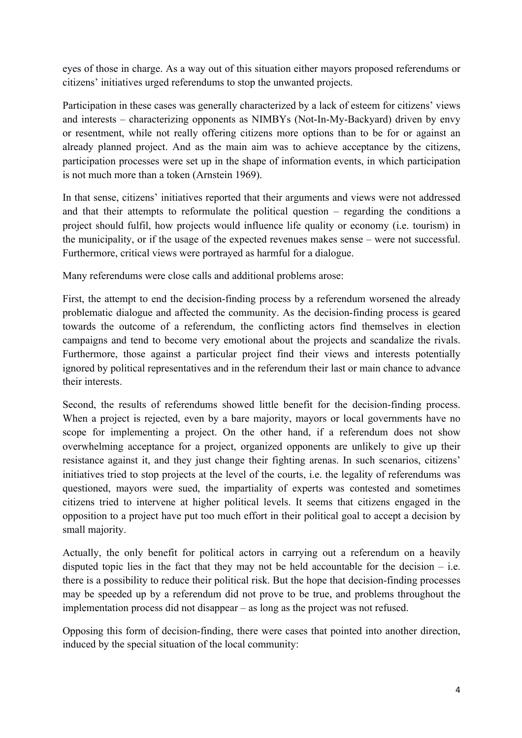eyes of those in charge. As a way out of this situation either mayors proposed referendums or citizens' initiatives urged referendums to stop the unwanted projects.

Participation in these cases was generally characterized by a lack of esteem for citizens' views and interests – characterizing opponents as NIMBYs (Not-In-My-Backyard) driven by envy or resentment, while not really offering citizens more options than to be for or against an already planned project. And as the main aim was to achieve acceptance by the citizens, participation processes were set up in the shape of information events, in which participation is not much more than a token (Arnstein 1969).

In that sense, citizens' initiatives reported that their arguments and views were not addressed and that their attempts to reformulate the political question – regarding the conditions a project should fulfil, how projects would influence life quality or economy (i.e. tourism) in the municipality, or if the usage of the expected revenues makes sense – were not successful. Furthermore, critical views were portrayed as harmful for a dialogue.

Many referendums were close calls and additional problems arose:

First, the attempt to end the decision-finding process by a referendum worsened the already problematic dialogue and affected the community. As the decision-finding process is geared towards the outcome of a referendum, the conflicting actors find themselves in election campaigns and tend to become very emotional about the projects and scandalize the rivals. Furthermore, those against a particular project find their views and interests potentially ignored by political representatives and in the referendum their last or main chance to advance their interests.

Second, the results of referendums showed little benefit for the decision-finding process. When a project is rejected, even by a bare majority, mayors or local governments have no scope for implementing a project. On the other hand, if a referendum does not show overwhelming acceptance for a project, organized opponents are unlikely to give up their resistance against it, and they just change their fighting arenas. In such scenarios, citizens' initiatives tried to stop projects at the level of the courts, i.e. the legality of referendums was questioned, mayors were sued, the impartiality of experts was contested and sometimes citizens tried to intervene at higher political levels. It seems that citizens engaged in the opposition to a project have put too much effort in their political goal to accept a decision by small majority.

Actually, the only benefit for political actors in carrying out a referendum on a heavily disputed topic lies in the fact that they may not be held accountable for the decision  $-$  i.e. there is a possibility to reduce their political risk. But the hope that decision-finding processes may be speeded up by a referendum did not prove to be true, and problems throughout the implementation process did not disappear – as long as the project was not refused.

Opposing this form of decision-finding, there were cases that pointed into another direction, induced by the special situation of the local community: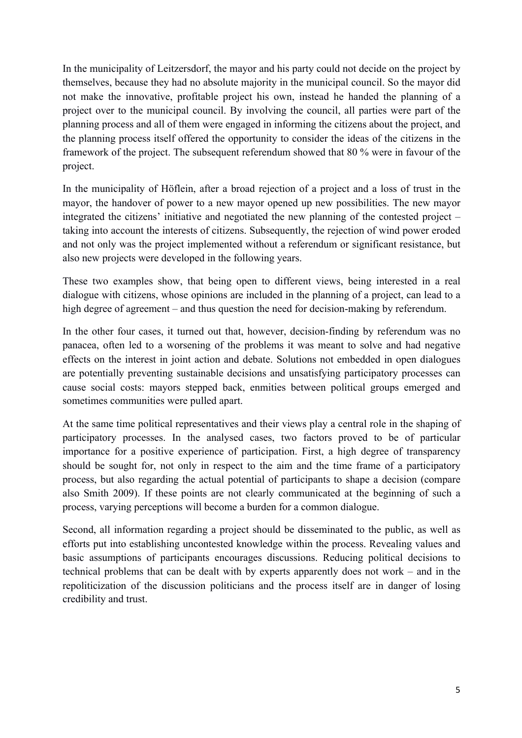In the municipality of Leitzersdorf, the mayor and his party could not decide on the project by themselves, because they had no absolute majority in the municipal council. So the mayor did not make the innovative, profitable project his own, instead he handed the planning of a project over to the municipal council. By involving the council, all parties were part of the planning process and all of them were engaged in informing the citizens about the project, and the planning process itself offered the opportunity to consider the ideas of the citizens in the framework of the project. The subsequent referendum showed that 80 % were in favour of the project.

In the municipality of Höflein, after a broad rejection of a project and a loss of trust in the mayor, the handover of power to a new mayor opened up new possibilities. The new mayor integrated the citizens' initiative and negotiated the new planning of the contested project – taking into account the interests of citizens. Subsequently, the rejection of wind power eroded and not only was the project implemented without a referendum or significant resistance, but also new projects were developed in the following years.

These two examples show, that being open to different views, being interested in a real dialogue with citizens, whose opinions are included in the planning of a project, can lead to a high degree of agreement – and thus question the need for decision-making by referendum.

In the other four cases, it turned out that, however, decision-finding by referendum was no panacea, often led to a worsening of the problems it was meant to solve and had negative effects on the interest in joint action and debate. Solutions not embedded in open dialogues are potentially preventing sustainable decisions and unsatisfying participatory processes can cause social costs: mayors stepped back, enmities between political groups emerged and sometimes communities were pulled apart.

At the same time political representatives and their views play a central role in the shaping of participatory processes. In the analysed cases, two factors proved to be of particular importance for a positive experience of participation. First, a high degree of transparency should be sought for, not only in respect to the aim and the time frame of a participatory process, but also regarding the actual potential of participants to shape a decision (compare also Smith 2009). If these points are not clearly communicated at the beginning of such a process, varying perceptions will become a burden for a common dialogue.

Second, all information regarding a project should be disseminated to the public, as well as efforts put into establishing uncontested knowledge within the process. Revealing values and basic assumptions of participants encourages discussions. Reducing political decisions to technical problems that can be dealt with by experts apparently does not work – and in the repoliticization of the discussion politicians and the process itself are in danger of losing credibility and trust.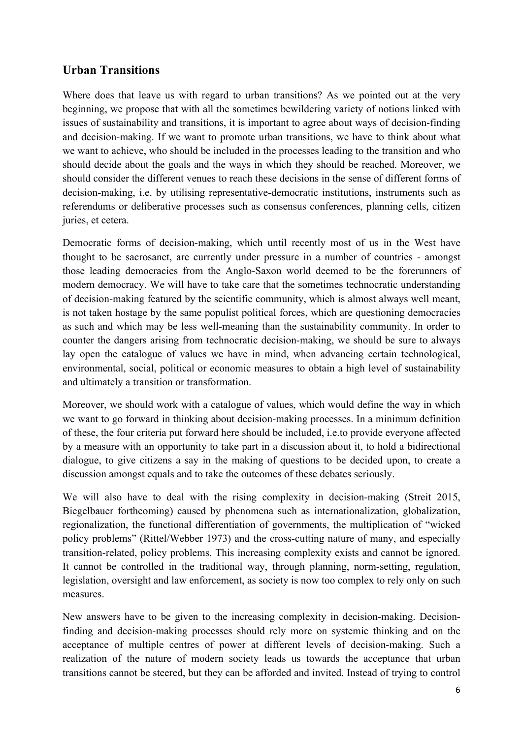## **Urban Transitions**

Where does that leave us with regard to urban transitions? As we pointed out at the very beginning, we propose that with all the sometimes bewildering variety of notions linked with issues of sustainability and transitions, it is important to agree about ways of decision-finding and decision-making. If we want to promote urban transitions, we have to think about what we want to achieve, who should be included in the processes leading to the transition and who should decide about the goals and the ways in which they should be reached. Moreover, we should consider the different venues to reach these decisions in the sense of different forms of decision-making, i.e. by utilising representative-democratic institutions, instruments such as referendums or deliberative processes such as consensus conferences, planning cells, citizen juries, et cetera.

Democratic forms of decision-making, which until recently most of us in the West have thought to be sacrosanct, are currently under pressure in a number of countries - amongst those leading democracies from the Anglo-Saxon world deemed to be the forerunners of modern democracy. We will have to take care that the sometimes technocratic understanding of decision-making featured by the scientific community, which is almost always well meant, is not taken hostage by the same populist political forces, which are questioning democracies as such and which may be less well-meaning than the sustainability community. In order to counter the dangers arising from technocratic decision-making, we should be sure to always lay open the catalogue of values we have in mind, when advancing certain technological, environmental, social, political or economic measures to obtain a high level of sustainability and ultimately a transition or transformation.

Moreover, we should work with a catalogue of values, which would define the way in which we want to go forward in thinking about decision-making processes. In a minimum definition of these, the four criteria put forward here should be included, i.e.to provide everyone affected by a measure with an opportunity to take part in a discussion about it, to hold a bidirectional dialogue, to give citizens a say in the making of questions to be decided upon, to create a discussion amongst equals and to take the outcomes of these debates seriously.

We will also have to deal with the rising complexity in decision-making (Streit 2015, Biegelbauer forthcoming) caused by phenomena such as internationalization, globalization, regionalization, the functional differentiation of governments, the multiplication of "wicked policy problems" (Rittel/Webber 1973) and the cross-cutting nature of many, and especially transition-related, policy problems. This increasing complexity exists and cannot be ignored. It cannot be controlled in the traditional way, through planning, norm-setting, regulation, legislation, oversight and law enforcement, as society is now too complex to rely only on such measures.

New answers have to be given to the increasing complexity in decision-making. Decisionfinding and decision-making processes should rely more on systemic thinking and on the acceptance of multiple centres of power at different levels of decision-making. Such a realization of the nature of modern society leads us towards the acceptance that urban transitions cannot be steered, but they can be afforded and invited. Instead of trying to control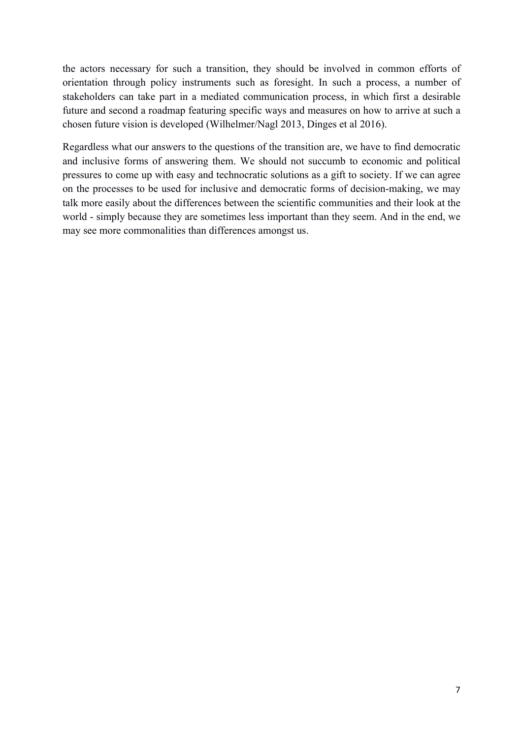the actors necessary for such a transition, they should be involved in common efforts of orientation through policy instruments such as foresight. In such a process, a number of stakeholders can take part in a mediated communication process, in which first a desirable future and second a roadmap featuring specific ways and measures on how to arrive at such a chosen future vision is developed (Wilhelmer/Nagl 2013, Dinges et al 2016).

Regardless what our answers to the questions of the transition are, we have to find democratic and inclusive forms of answering them. We should not succumb to economic and political pressures to come up with easy and technocratic solutions as a gift to society. If we can agree on the processes to be used for inclusive and democratic forms of decision-making, we may talk more easily about the differences between the scientific communities and their look at the world - simply because they are sometimes less important than they seem. And in the end, we may see more commonalities than differences amongst us.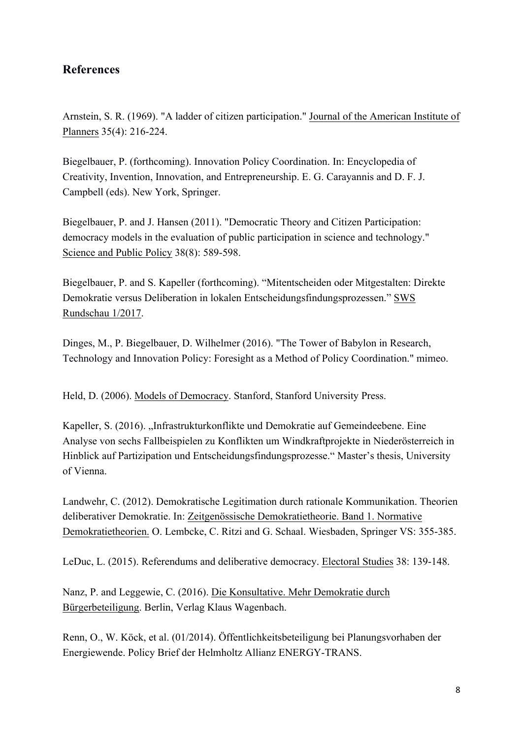## **References**

Arnstein, S. R. (1969). "A ladder of citizen participation." Journal of the American Institute of Planners 35(4): 216-224.

Biegelbauer, P. (forthcoming). Innovation Policy Coordination. In: Encyclopedia of Creativity, Invention, Innovation, and Entrepreneurship. E. G. Carayannis and D. F. J. Campbell (eds). New York, Springer.

Biegelbauer, P. and J. Hansen (2011). "Democratic Theory and Citizen Participation: democracy models in the evaluation of public participation in science and technology." Science and Public Policy 38(8): 589-598.

Biegelbauer, P. and S. Kapeller (forthcoming). "Mitentscheiden oder Mitgestalten: Direkte Demokratie versus Deliberation in lokalen Entscheidungsfindungsprozessen." SWS Rundschau 1/2017.

Dinges, M., P. Biegelbauer, D. Wilhelmer (2016). "The Tower of Babylon in Research, Technology and Innovation Policy: Foresight as a Method of Policy Coordination." mimeo.

Held, D. (2006). Models of Democracy. Stanford, Stanford University Press.

Kapeller, S. (2016). "Infrastrukturkonflikte und Demokratie auf Gemeindeebene. Eine Analyse von sechs Fallbeispielen zu Konflikten um Windkraftprojekte in Niederösterreich in Hinblick auf Partizipation und Entscheidungsfindungsprozesse." Master's thesis, University of Vienna.

Landwehr, C. (2012). Demokratische Legitimation durch rationale Kommunikation. Theorien deliberativer Demokratie. In: Zeitgenössische Demokratietheorie. Band 1. Normative Demokratietheorien. O. Lembcke, C. Ritzi and G. Schaal. Wiesbaden, Springer VS: 355-385.

LeDuc, L. (2015). Referendums and deliberative democracy. Electoral Studies 38: 139-148.

Nanz, P. and Leggewie, C. (2016). Die Konsultative. Mehr Demokratie durch Bürgerbeteiligung. Berlin, Verlag Klaus Wagenbach.

Renn, O., W. Köck, et al. (01/2014). Öffentlichkeitsbeteiligung bei Planungsvorhaben der Energiewende. Policy Brief der Helmholtz Allianz ENERGY-TRANS.